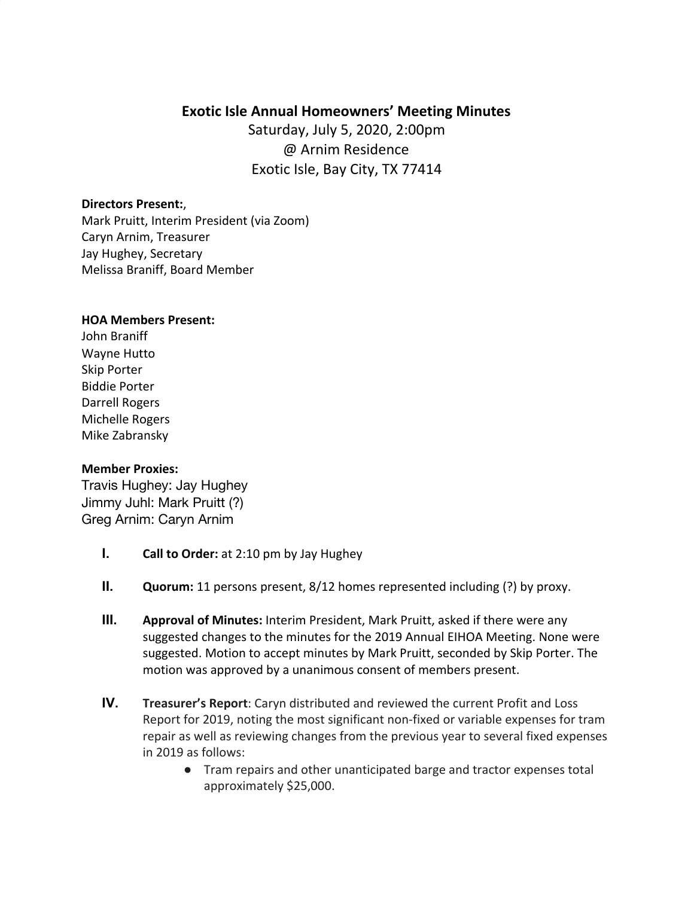# **Exotic Isle Annual Homeowners' Meeting Minutes**

Saturday, July 5, 2020, 2:00pm @ Arnim Residence Exotic Isle, Bay City, TX 77414

### **Directors Present:**,

Mark Pruitt, Interim President (via Zoom) Caryn Arnim, Treasurer Jay Hughey, Secretary Melissa Braniff, Board Member

#### **HOA Members Present:**

John Braniff Wayne Hutto Skip Porter Biddie Porter Darrell Rogers Michelle Rogers Mike Zabransky

### **Member Proxies:**

Travis Hughey: Jay Hughey Jimmy Juhl: Mark Pruitt (?) Greg Arnim: Caryn Arnim

- **I. Call to Order:** at 2:10 pm by Jay Hughey
- **II. Quorum:** 11 persons present, 8/12 homes represented including (?) by proxy.
- **III. Approval of Minutes:** Interim President, Mark Pruitt, asked if there were any suggested changes to the minutes for the 2019 Annual EIHOA Meeting. None were suggested. Motion to accept minutes by Mark Pruitt, seconded by Skip Porter. The motion was approved by a unanimous consent of members present.
- **IV. Treasurer's Report**: Caryn distributed and reviewed the current Profit and Loss Report for 2019, noting the most significant non-fixed or variable expenses for tram repair as well as reviewing changes from the previous year to several fixed expenses in 2019 as follows:
	- Tram repairs and other unanticipated barge and tractor expenses total approximately \$25,000.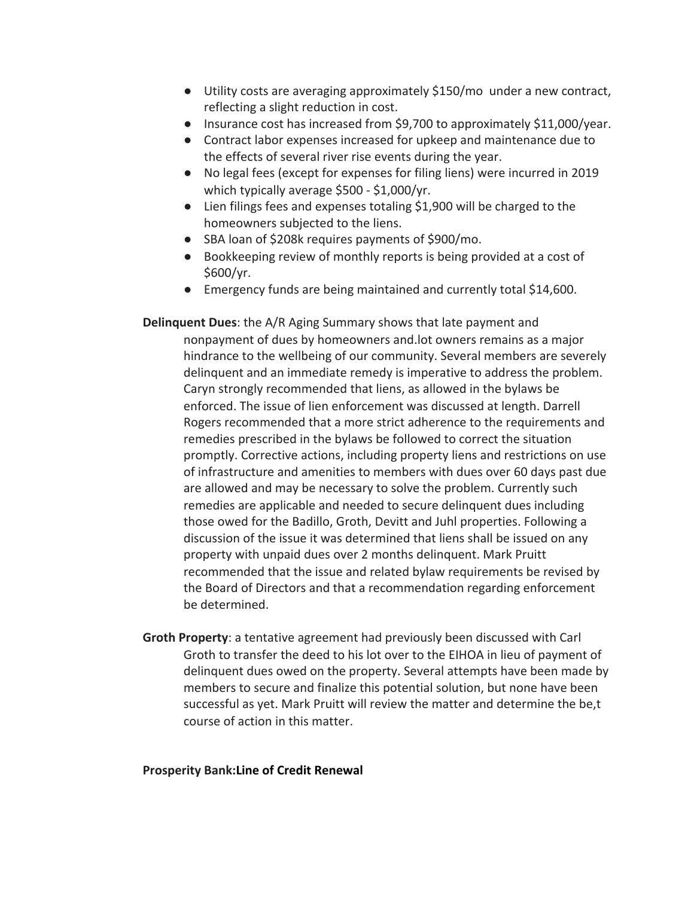- Utility costs are averaging approximately \$150/mo under a new contract, reflecting a slight reduction in cost.
- Insurance cost has increased from \$9,700 to approximately \$11,000/year.
- Contract labor expenses increased for upkeep and maintenance due to the effects of several river rise events during the year.
- No legal fees (except for expenses for filing liens) were incurred in 2019 which typically average \$500 - \$1,000/yr.
- Lien filings fees and expenses totaling \$1,900 will be charged to the homeowners subjected to the liens.
- SBA loan of \$208k requires payments of \$900/mo.
- Bookkeeping review of monthly reports is being provided at a cost of \$600/yr.
- Emergency funds are being maintained and currently total \$14,600.

**Delinquent Dues**: the A/R Aging Summary shows that late payment and nonpayment of dues by homeowners and.lot owners remains as a major hindrance to the wellbeing of our community. Several members are severely delinquent and an immediate remedy is imperative to address the problem. Caryn strongly recommended that liens, as allowed in the bylaws be enforced. The issue of lien enforcement was discussed at length. Darrell Rogers recommended that a more strict adherence to the requirements and remedies prescribed in the bylaws be followed to correct the situation promptly. Corrective actions, including property liens and restrictions on use of infrastructure and amenities to members with dues over 60 days past due are allowed and may be necessary to solve the problem. Currently such remedies are applicable and needed to secure delinquent dues including those owed for the Badillo, Groth, Devitt and Juhl properties. Following a discussion of the issue it was determined that liens shall be issued on any property with unpaid dues over 2 months delinquent. Mark Pruitt recommended that the issue and related bylaw requirements be revised by the Board of Directors and that a recommendation regarding enforcement be determined.

**Groth Property**: a tentative agreement had previously been discussed with Carl Groth to transfer the deed to his lot over to the EIHOA in lieu of payment of delinquent dues owed on the property. Several attempts have been made by members to secure and finalize this potential solution, but none have been successful as yet. Mark Pruitt will review the matter and determine the be,t course of action in this matter.

### **Prosperity Bank:Line of Credit Renewal**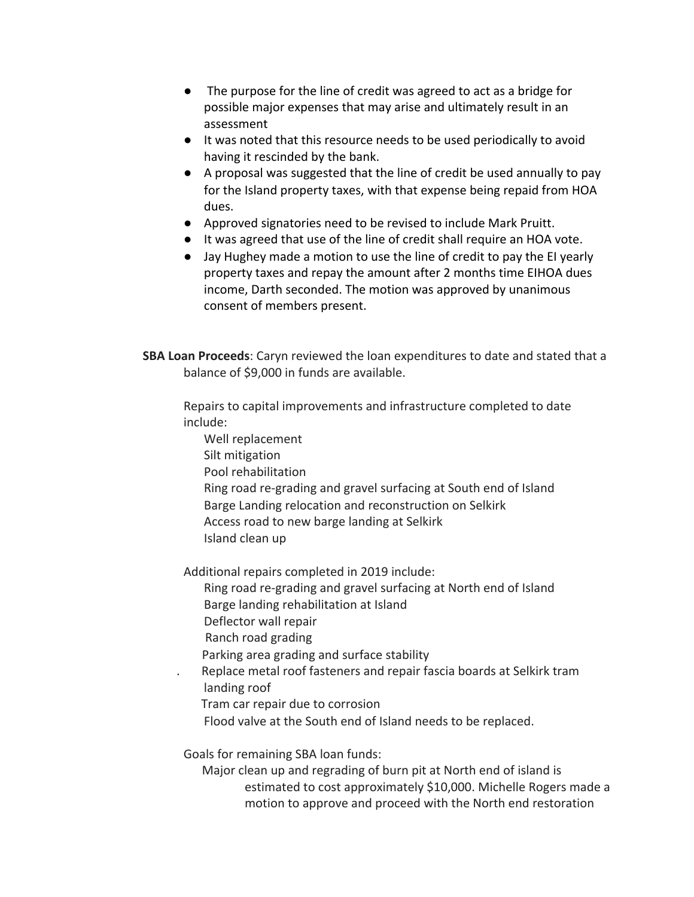- **●** The purpose for the line of credit was agreed to act as a bridge for possible major expenses that may arise and ultimately result in an assessment
- It was noted that this resource needs to be used periodically to avoid having it rescinded by the bank.
- A proposal was suggested that the line of credit be used annually to pay for the Island property taxes, with that expense being repaid from HOA dues.
- Approved signatories need to be revised to include Mark Pruitt.
- It was agreed that use of the line of credit shall require an HOA vote.
- Jay Hughey made a motion to use the line of credit to pay the EI yearly property taxes and repay the amount after 2 months time EIHOA dues income, Darth seconded. The motion was approved by unanimous consent of members present.

**SBA Loan Proceeds**: Caryn reviewed the loan expenditures to date and stated that a balance of \$9,000 in funds are available.

Repairs to capital improvements and infrastructure completed to date include:

- Well replacement
- Silt mitigation
- Pool rehabilitation
- Ring road re-grading and gravel surfacing at South end of Island Barge Landing relocation and reconstruction on Selkirk Access road to new barge landing at Selkirk
- Island clean up

Additional repairs completed in 2019 include:

- Ring road re-grading and gravel surfacing at North end of Island Barge landing rehabilitation at Island
- 
- Deflector wall repair
- Ranch road grading
- Parking area grading and surface stability
- . Replace metal roof fasteners and repair fascia boards at Selkirk tram landing roof
	- Tram car repair due to corrosion
	- Flood valve at the South end of Island needs to be replaced.

Goals for remaining SBA loan funds:

 Major clean up and regrading of burn pit at North end of island is estimated to cost approximately \$10,000. Michelle Rogers made a motion to approve and proceed with the North end restoration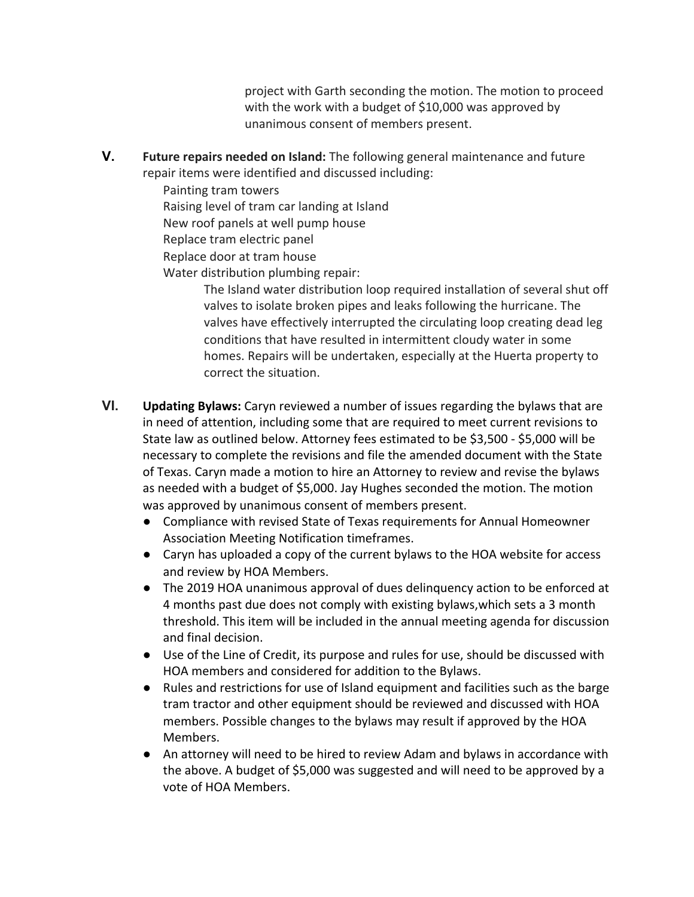project with Garth seconding the motion. The motion to proceed with the work with a budget of \$10,000 was approved by unanimous consent of members present.

**V. Future repairs needed on Island:** The following general maintenance and future repair items were identified and discussed including:

Painting tram towers Raising level of tram car landing at Island New roof panels at well pump house Replace tram electric panel Replace door at tram house Water distribution plumbing repair:

> The Island water distribution loop required installation of several shut off valves to isolate broken pipes and leaks following the hurricane. The valves have effectively interrupted the circulating loop creating dead leg conditions that have resulted in intermittent cloudy water in some homes. Repairs will be undertaken, especially at the Huerta property to correct the situation.

- **VI. Updating Bylaws:** Caryn reviewed a number of issues regarding the bylaws that are in need of attention, including some that are required to meet current revisions to State law as outlined below. Attorney fees estimated to be \$3,500 - \$5,000 will be necessary to complete the revisions and file the amended document with the State of Texas. Caryn made a motion to hire an Attorney to review and revise the bylaws as needed with a budget of \$5,000. Jay Hughes seconded the motion. The motion was approved by unanimous consent of members present.
	- Compliance with revised State of Texas requirements for Annual Homeowner Association Meeting Notification timeframes.
	- Caryn has uploaded a copy of the current bylaws to the HOA website for access and review by HOA Members.
	- The 2019 HOA unanimous approval of dues delinquency action to be enforced at 4 months past due does not comply with existing bylaws,which sets a 3 month threshold. This item will be included in the annual meeting agenda for discussion and final decision.
	- Use of the Line of Credit, its purpose and rules for use, should be discussed with HOA members and considered for addition to the Bylaws.
	- Rules and restrictions for use of Island equipment and facilities such as the barge tram tractor and other equipment should be reviewed and discussed with HOA members. Possible changes to the bylaws may result if approved by the HOA Members.
	- An attorney will need to be hired to review Adam and bylaws in accordance with the above. A budget of \$5,000 was suggested and will need to be approved by a vote of HOA Members.